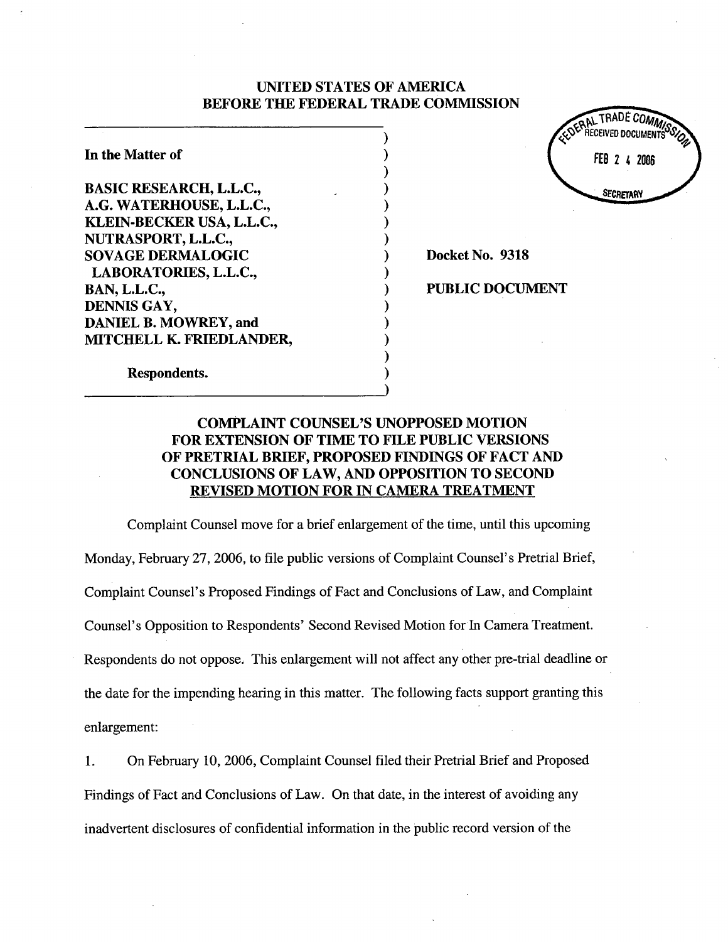# UNITED STATES OF AMERICA BEFORE THE FEDERAL TRADE COMMSSION

) ) ) ) ) ) ) ) ) ) ) ) ) ) ) )

In the Matter of BASIC RESEARCH, L.L.C., A.G. WATERHOUSE, L.L.C., KLEIN-BECKER USA, L.L.C., NURASPORT, L.L.C., SOVAGE DERMALOGIC LABORATORIES, L.L.C., BAN, L.L.C., DENNIS GAY, DANIEL B. MOWREY, and MITCHELL K. FRIEDLANDER,



Docket No. 9318

PUBLIC DOCUMENT

Respondents.

# COMPLAINT COUNSEL'S UNOPPOSED MOTION FOR EXTENSION OF TIME TO FILE PUBLIC VERSIONS OF PRETRIAL BRIEF, PROPOSED FINDINGS OF FACT AND CONCLUSIONS OF LAW, AND OPPOSITION TO SECOND REVISED MOTION FOR IN CAMERA TREATMENT

Complaint Counsel move for a brief enlargement of the time, until this upcoming Monday, February 27, 2006, to file public versions of Complaint Counsel's Pretrial Brief, Complaint Counsel's Proposed Findings of Fact and Conclusions of Law, and Complaint Counsel's Opposition to Respondents' Second Revised Motion for In Camera Treatment. Respondents do not oppose. This enlargement will not affect any other pre-trial deadline or the date for the impending hearing in this matter. The following facts support granting this enlargement:

1. On February 10, 2006, Complaint Counsel filed their Pretrial Brief and Proposed Findings of Fact and Conclusions of Law. On that date, in the interest of avoiding any inadvertent disclosures of confidential information in the public record version of the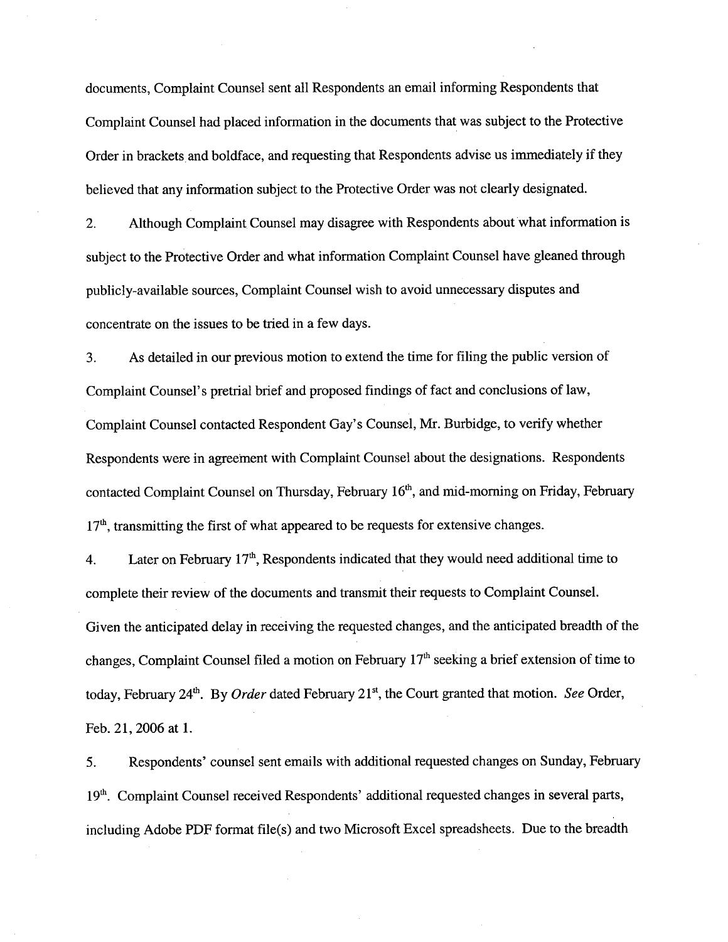documents, Complaint Counsel sent all Respondents an email informing Respondents that Complaint Counsel had placed information in the documents that was subject to the Protective Order in brackets and boldface, and requesting that Respondents advise us immediately if they believed that any information subject to the Protective Order was not clearly designated.

2. Although Complaint Counsel may disagree with Respondents about what information is subject to the Protective Order and what information Complaint Counsel have gleaned through publicly-available sources, Complaint Counsel wish to avoid unnecessary disputes and concentrate on the issues to be tred in a few days.

3. As detailed in our previous motion to extend the time for filing the public version of Complaint Counsel's pretrial brief and proposed findings of fact and conclusions of law, Complaint Counsel contacted Respondent Gay's Counsel, Mr. Burbidge, to verify whether Respondents were in agreement with Complaint Counsel about the designations. Respondents contacted Complaint Counsel on Thursday, February 16<sup>th</sup>, and mid-morning on Friday, February  $17<sup>th</sup>$ , transmitting the first of what appeared to be requests for extensive changes.

4. Later on February  $17<sup>th</sup>$ , Respondents indicated that they would need additional time to complete their review of the documents and transmit their requests to Complaint CounseL. Given the anticipated delay in receiving the requested changes, and the anticipated breadth of the changes, Complaint Counsel filed a motion on February 17<sup>th</sup> seeking a brief extension of time to today, February 24<sup>th</sup>. By *Order* dated February 21<sup>st</sup>, the Court granted that motion. See Order, Feb. 21, 2006 at 1.

5. Respondents' counsel sent emails with additional requested changes on Sunday, Februar 19<sup>th</sup>. Complaint Counsel received Respondents' additional requested changes in several parts, including Adobe PDF format file(s) and two Microsoft Excel spreadsheets. Due to the breadth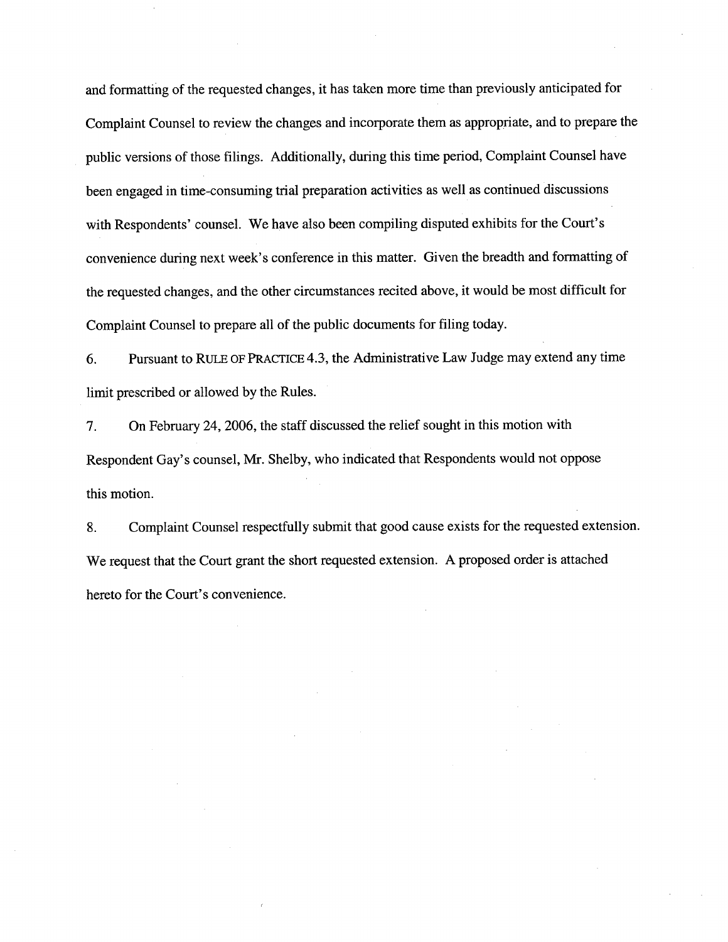and formatting of the requested changes, it has taken more time than previously anticipated for Complaint Counsel to review the changes and incorporate them as appropriate, and to prepare the public versions of those fiings. Additionally, during this time period, Complaint Counsel have been engaged in time-consuming trial preparation activities as well as continued discussions with Respondents' counsel. We have also been compiling disputed exhibits for the Court's convenience during next week's conference in this matter. Given the breadth and formatting of the requested changes, and the other circumstances recited above, it would be most diffcult for Complaint Counsel to prepare all of the public documents for filing today.

6. Pursuant to RULE OF PRACTICE 4.3, the Administrative Law Judge may extend any time limit prescribed or allowed by the Rules.

7. On February 24, 2006, the staff discussed the relief sought in this motion with Respondent Gay's counsel, Mr. Shelby, who indicated that Respondents would not oppose this motion.

8. Complaint Counsel respectfully submit that good cause exists for the requested extension. We request that the Court grant the short requested extension. A proposed order is attached hereto for the Court's convenience.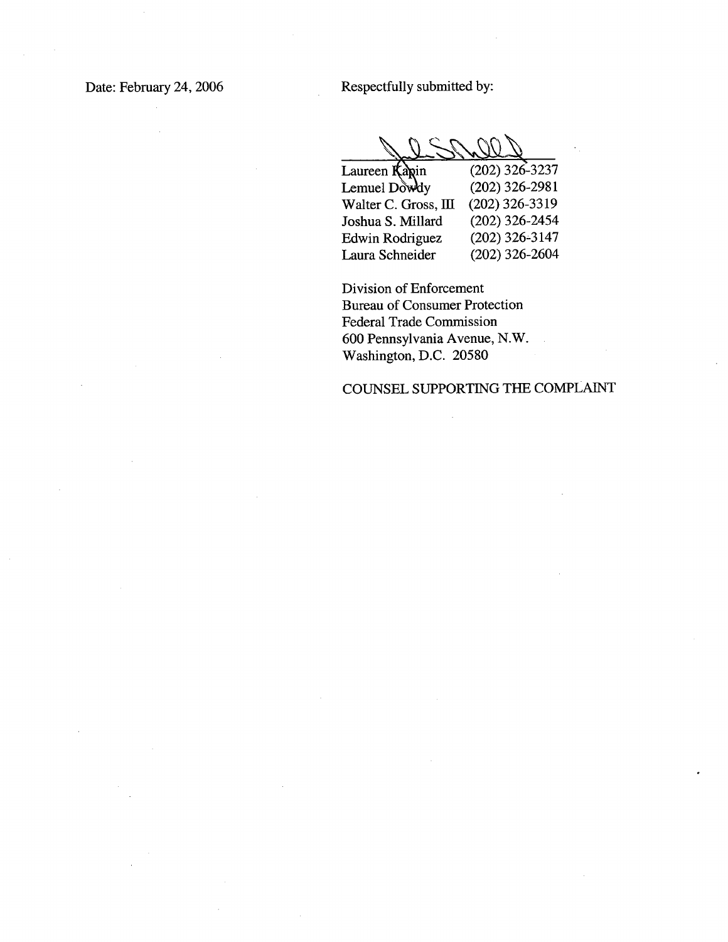Date: February 24, 2006 Respectfully submitted by:

Jesnees

| Laureen Kapin        | $(202)$ 326-3237 |
|----------------------|------------------|
| Lemuel Dowdy         | $(202)$ 326-2981 |
| Walter C. Gross, III | $(202)$ 326-3319 |
| Joshua S. Millard    | $(202)$ 326-2454 |
| Edwin Rodriguez      | $(202)$ 326-3147 |
| Laura Schneider      | $(202)$ 326-2604 |

Division of Enforcement Bureau of Consumer Protection Federal Trade Commission 600 Pennsylvania Avenue, N.W. Washington, D.C. 20580

# COUNSEL SUPPORTING THE COMPLAINT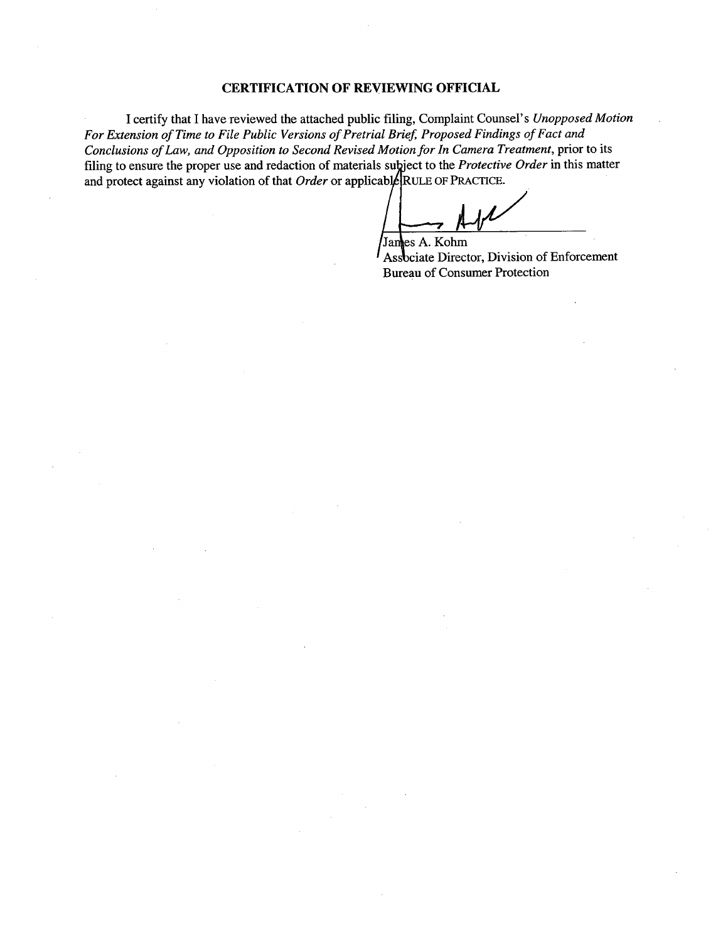## CERTIFICATION OF REVIEWING OFFICIAL

I certify that I have reviewed the attached public fiing, Complaint Counsel's Unopposed Motion For Extension of Time to File Public Versions of Pretrial Brief, Proposed Findings of Fact and Conclusions of Law, and Opposition to Second Revised Motion for In Camera Treatment, prior to its filing to ensure the proper use and redaction of materials subject to the Protective Order in this matter and protect against any violation of that *Order* or applicable RULE OF PRACTICE.

James A. Kohm Protective<br>PRACTICE<br>mm

Associate Director, Division of Enforcement Bureau of Consumer Protection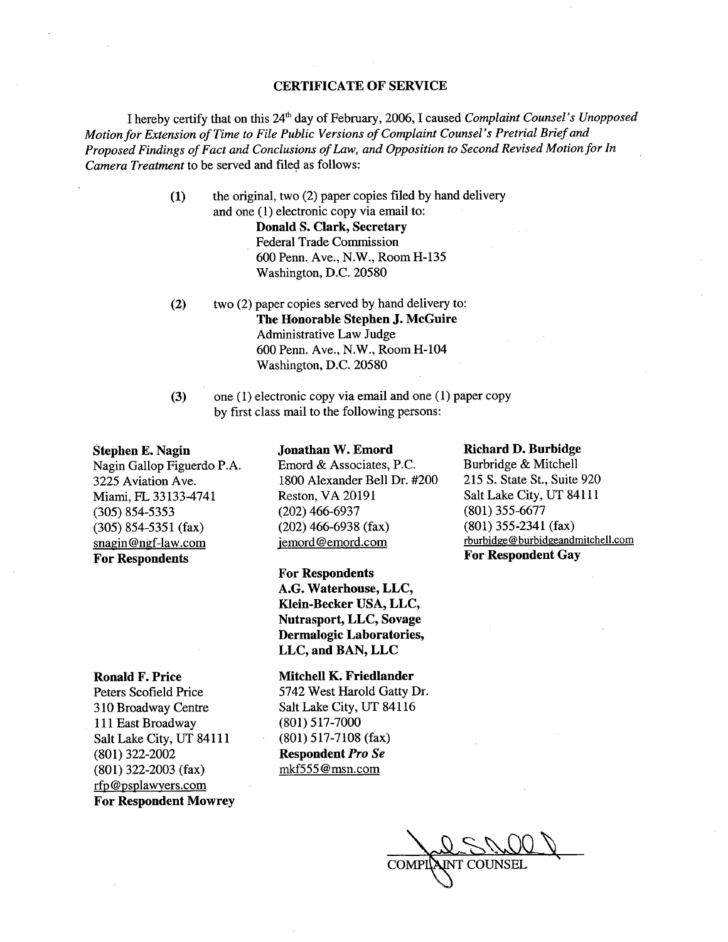### CERTIFICATE OF SERVICE

I hereby certify that on this 24<sup>th</sup> day of February, 2006, I caused Complaint Counsel's Unopposed Motion for Extension of Time to File Public Versions of Complaint Counsel's Pretrial Brief and Proposed Findings of Fact and Conclusions of Law, and Opposition to Second Revised Motion for In Camera Treatment to be served and filed as follows:

> (1) the original, two (2) paper copies fied by hand delivery and one  $(1)$  electronic copy via email to: Donald S. Clark, Secretary Federal Trade Commission 600 Penn. Ave., N.W.,RoomH-135 Washington, D.C. 20580

- (2) two (2) paper copies served by hand delivery to: The Honorable Stephen J. McGuire Administrative Law Judge 600 Penn. Ave., N.W., Room H-104 Washington, D.C. 20580
- (3) one (1) electronic copy via email and one (1) paper copy by first class mail to the following persons:

Jonathan W. Emord Emord & Associates, P.c. 1800 Alexander Bell Dr. #200

#### Stephen E. Nagin

Nagin Gallop Figuerdo P.A. 3225 Aviation Ave. Miami, FL 33133-4741 (305) 854-5353 (305) 854-5351 (fax) snagin@ngf-law.com For Respondents

Reston, VA 20191 (202) 466-6937 (202) 466-6938 (fax) jemord@emord.com For Respondents

A.G. Waterhouse, LLC, Klein-Becker USA, LLC, Nutrasport, LLC, Sovage Dermalogic Laboratories, LLC, and BAN, LLC

#### Ronald F. Price

Peters Scofield Price 310 Broadway Centre 111 East Broadway Salt Lake City, UT 84111 (801) 322-2002 (801) 322-2003 (fax) rfp@psplawyers.com For Respondent Mowrey

## Mitchell K. Friedlander

5742 West Harold Gatty Dr. Salt Lake City, UT 84116 (801) 517-7000 (801) 517-7108 (fax) Respondent Pro Se mkf555@msn.com

### Richard D. Burbidge

Burbridge & Mitchell 215 S. State St., Suite 920 Salt Lake City, UT 84111 (801) 355-6677 (801) 355-2341 (fax) rburbidge@burbidgeandmitchell.com For Respondent Gay

Jal Shell COMPINAINT COUNSEI